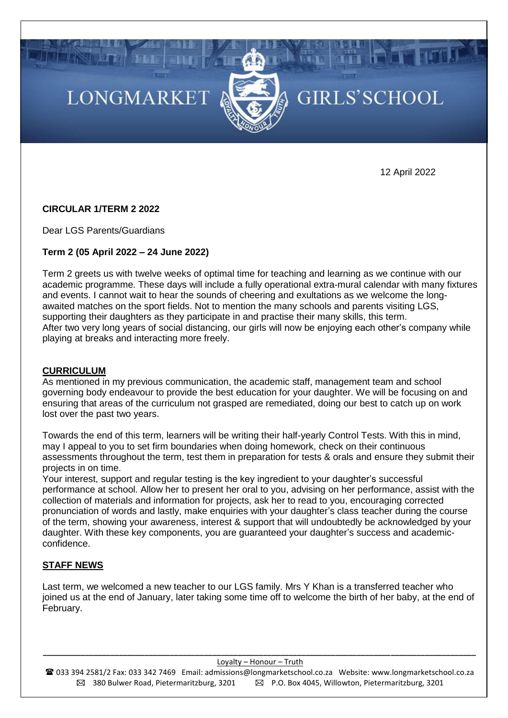# **LONGMARKET**



# GIRLS'SCHOOL

12 April 2022

# **CIRCULAR 1/TERM 2 2022**

Dear LGS Parents/Guardians

# **Term 2 (05 April 2022 – 24 June 2022)**

Term 2 greets us with twelve weeks of optimal time for teaching and learning as we continue with our academic programme. These days will include a fully operational extra-mural calendar with many fixtures and events. I cannot wait to hear the sounds of cheering and exultations as we welcome the longawaited matches on the sport fields. Not to mention the many schools and parents visiting LGS, supporting their daughters as they participate in and practise their many skills, this term. After two very long years of social distancing, our girls will now be enjoying each other's company while playing at breaks and interacting more freely.

# **CURRICULUM**

As mentioned in my previous communication, the academic staff, management team and school governing body endeavour to provide the best education for your daughter. We will be focusing on and ensuring that areas of the curriculum not grasped are remediated, doing our best to catch up on work lost over the past two years.

Towards the end of this term, learners will be writing their half-yearly Control Tests. With this in mind, may I appeal to you to set firm boundaries when doing homework, check on their continuous assessments throughout the term, test them in preparation for tests & orals and ensure they submit their projects in on time.

Your interest, support and regular testing is the key ingredient to your daughter's successful performance at school. Allow her to present her oral to you, advising on her performance, assist with the collection of materials and information for projects, ask her to read to you, encouraging corrected pronunciation of words and lastly, make enquiries with your daughter's class teacher during the course of the term, showing your awareness, interest & support that will undoubtedly be acknowledged by your daughter. With these key components, you are guaranteed your daughter's success and academicconfidence.

# **STAFF NEWS**

Last term, we welcomed a new teacher to our LGS family. Mrs Y Khan is a transferred teacher who joined us at the end of January, later taking some time off to welcome the birth of her baby, at the end of February.

*\_\_\_\_\_\_\_\_\_\_\_\_\_\_\_\_\_\_\_\_\_\_\_\_\_\_\_\_\_\_\_\_\_\_\_\_\_\_\_\_\_\_\_\_\_\_\_\_\_\_\_\_\_\_\_\_\_\_\_\_\_\_\_\_\_\_\_\_\_\_\_\_\_\_\_\_\_\_\_\_\_\_\_\_\_\_\_\_\_\_\_\_\_\_\_\_\_\_\_\_\_\_* Loyalty – Honour – Truth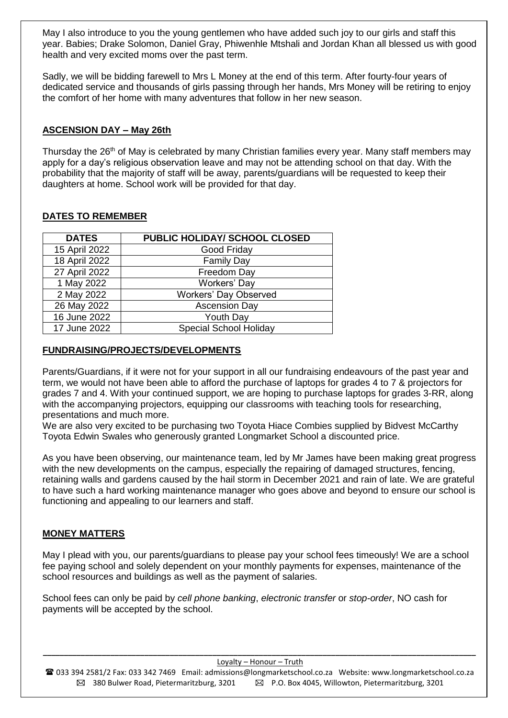May I also introduce to you the young gentlemen who have added such joy to our girls and staff this year. Babies; Drake Solomon, Daniel Gray, Phiwenhle Mtshali and Jordan Khan all blessed us with good health and very excited moms over the past term.

Sadly, we will be bidding farewell to Mrs L Money at the end of this term. After fourty-four years of dedicated service and thousands of girls passing through her hands, Mrs Money will be retiring to enjoy the comfort of her home with many adventures that follow in her new season.

# **ASCENSION DAY – May 26th**

Thursday the 26<sup>th</sup> of May is celebrated by many Christian families every year. Many staff members may apply for a day's religious observation leave and may not be attending school on that day. With the probability that the majority of staff will be away, parents/guardians will be requested to keep their daughters at home. School work will be provided for that day.

| <b>DATES</b>  | <b>PUBLIC HOLIDAY/ SCHOOL CLOSED</b> |
|---------------|--------------------------------------|
| 15 April 2022 | Good Friday                          |
| 18 April 2022 | <b>Family Day</b>                    |
| 27 April 2022 | Freedom Day                          |
| 1 May 2022    | Workers' Day                         |
| 2 May 2022    | <b>Workers' Day Observed</b>         |
| 26 May 2022   | <b>Ascension Day</b>                 |
| 16 June 2022  | Youth Day                            |
| 17 June 2022  | <b>Special School Holiday</b>        |

# **DATES TO REMEMBER**

# **FUNDRAISING/PROJECTS/DEVELOPMENTS**

Parents/Guardians, if it were not for your support in all our fundraising endeavours of the past year and term, we would not have been able to afford the purchase of laptops for grades 4 to 7 & projectors for grades 7 and 4. With your continued support, we are hoping to purchase laptops for grades 3-RR, along with the accompanying projectors, equipping our classrooms with teaching tools for researching. presentations and much more.

We are also very excited to be purchasing two Toyota Hiace Combies supplied by Bidvest McCarthy Toyota Edwin Swales who generously granted Longmarket School a discounted price.

As you have been observing, our maintenance team, led by Mr James have been making great progress with the new developments on the campus, especially the repairing of damaged structures, fencing, retaining walls and gardens caused by the hail storm in December 2021 and rain of late. We are grateful to have such a hard working maintenance manager who goes above and beyond to ensure our school is functioning and appealing to our learners and staff.

# **MONEY MATTERS**

May I plead with you, our parents/guardians to please pay your school fees timeously! We are a school fee paying school and solely dependent on your monthly payments for expenses, maintenance of the school resources and buildings as well as the payment of salaries.

School fees can only be paid by *cell phone banking*, *electronic transfer* or *stop-order*, NO cash for payments will be accepted by the school.

*\_\_\_\_\_\_\_\_\_\_\_\_\_\_\_\_\_\_\_\_\_\_\_\_\_\_\_\_\_\_\_\_\_\_\_\_\_\_\_\_\_\_\_\_\_\_\_\_\_\_\_\_\_\_\_\_\_\_\_\_\_\_\_\_\_\_\_\_\_\_\_\_\_\_\_\_\_\_\_\_\_\_\_\_\_\_\_\_\_\_\_\_\_\_\_\_\_\_\_\_\_\_* Loyalty – Honour – Truth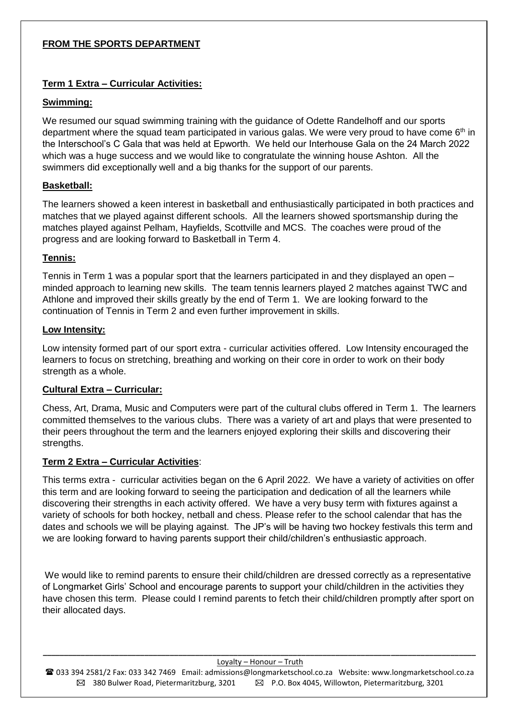# **FROM THE SPORTS DEPARTMENT**

# **Term 1 Extra – Curricular Activities:**

# **Swimming:**

We resumed our squad swimming training with the guidance of Odette Randelhoff and our sports department where the squad team participated in various galas. We were very proud to have come  $6<sup>th</sup>$  in the Interschool's C Gala that was held at Epworth. We held our Interhouse Gala on the 24 March 2022 which was a huge success and we would like to congratulate the winning house Ashton. All the swimmers did exceptionally well and a big thanks for the support of our parents.

# **Basketball:**

The learners showed a keen interest in basketball and enthusiastically participated in both practices and matches that we played against different schools. All the learners showed sportsmanship during the matches played against Pelham, Hayfields, Scottville and MCS. The coaches were proud of the progress and are looking forward to Basketball in Term 4.

# **Tennis:**

Tennis in Term 1 was a popular sport that the learners participated in and they displayed an open – minded approach to learning new skills. The team tennis learners played 2 matches against TWC and Athlone and improved their skills greatly by the end of Term 1. We are looking forward to the continuation of Tennis in Term 2 and even further improvement in skills.

# **Low Intensity:**

Low intensity formed part of our sport extra - curricular activities offered. Low Intensity encouraged the learners to focus on stretching, breathing and working on their core in order to work on their body strength as a whole.

# **Cultural Extra – Curricular:**

Chess, Art, Drama, Music and Computers were part of the cultural clubs offered in Term 1. The learners committed themselves to the various clubs. There was a variety of art and plays that were presented to their peers throughout the term and the learners enjoyed exploring their skills and discovering their strengths.

# **Term 2 Extra – Curricular Activities**:

This terms extra - curricular activities began on the 6 April 2022. We have a variety of activities on offer this term and are looking forward to seeing the participation and dedication of all the learners while discovering their strengths in each activity offered. We have a very busy term with fixtures against a variety of schools for both hockey, netball and chess. Please refer to the school calendar that has the dates and schools we will be playing against. The JP's will be having two hockey festivals this term and we are looking forward to having parents support their child/children's enthusiastic approach.

We would like to remind parents to ensure their child/children are dressed correctly as a representative of Longmarket Girls' School and encourage parents to support your child/children in the activities they have chosen this term. Please could I remind parents to fetch their child/children promptly after sport on their allocated days.

#### *\_\_\_\_\_\_\_\_\_\_\_\_\_\_\_\_\_\_\_\_\_\_\_\_\_\_\_\_\_\_\_\_\_\_\_\_\_\_\_\_\_\_\_\_\_\_\_\_\_\_\_\_\_\_\_\_\_\_\_\_\_\_\_\_\_\_\_\_\_\_\_\_\_\_\_\_\_\_\_\_\_\_\_\_\_\_\_\_\_\_\_\_\_\_\_\_\_\_\_\_\_\_* Loyalty – Honour – Truth

 033 394 2581/2 Fax: 033 342 7469 Email: [admissions@longmarketschool.co.za](mailto:admissions@longmarketschool.co.za) Website[: www.longmarketschool.co.za](http://www.longmarketschool.co.za/)  $\boxtimes$  380 Bulwer Road, Pietermaritzburg, 3201  $\boxtimes$  P.O. Box 4045, Willowton, Pietermaritzburg, 3201